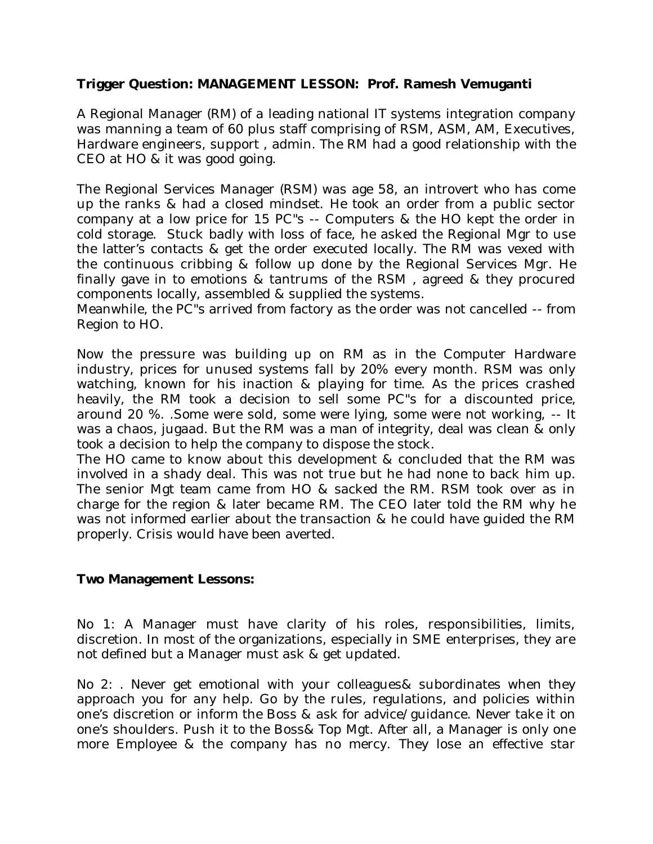## **Trigger Question: MANAGEMENT LESSON: Prof. Ramesh Vemuganti**

A Regional Manager (RM) of a leading national IT systems integration company was manning a team of 60 plus staff comprising of RSM, ASM, AM, Executives, Hardware engineers, support , admin. The RM had a good relationship with the CEO at HO & it was good going.

The Regional Services Manager (RSM) was age 58, an introvert who has come up the ranks & had a closed mindset. He took an order from a public sector company at a low price for 15 PC"s -- Computers & the HO kept the order in cold storage. Stuck badly with loss of face, he asked the Regional Mgr to use the latter's contacts & get the order executed locally. The RM was vexed with the continuous cribbing & follow up done by the Regional Services Mgr. He finally gave in to emotions & tantrums of the RSM , agreed & they procured components locally, assembled & supplied the systems.

Meanwhile, the PC"s arrived from factory as the order was not cancelled -- from Region to HO.

Now the pressure was building up on RM as in the Computer Hardware industry, prices for unused systems fall by 20% every month. RSM was only watching, known for his inaction & playing for time. As the prices crashed heavily, the RM took a decision to sell some PC"s for a discounted price, around 20 %. .Some were sold, some were lying, some were not working, -- It was a chaos, jugaad. But the RM was a man of integrity, deal was clean & only took a decision to help the company to dispose the stock.

The HO came to know about this development & concluded that the RM was involved in a shady deal. This was not true but he had none to back him up. The senior Mgt team came from HO & sacked the RM. RSM took over as in charge for the region & later became RM. The CEO later told the RM why he was not informed earlier about the transaction & he could have guided the RM properly. Crisis would have been averted.

## **Two Management Lessons:**

No 1: A Manager must have clarity of his roles, responsibilities, limits, discretion. In most of the organizations, especially in SME enterprises, they are not defined but a Manager must ask & get updated.

No 2: . Never get emotional with your colleagues& subordinates when they approach you for any help. Go by the rules, regulations, and policies within one's discretion or inform the Boss & ask for advice/guidance. Never take it on one's shoulders. Push it to the Boss& Top Mgt. After all, a Manager is only one more Employee & the company has no mercy. They lose an effective star